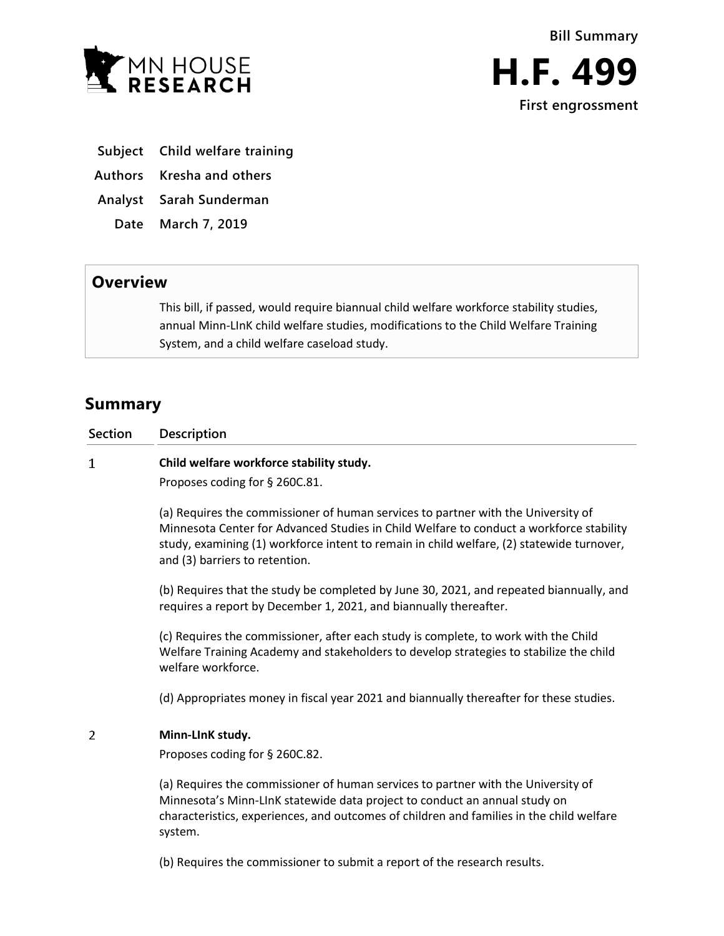

- **Subject Child welfare training**
- **Authors Kresha and others**
- **Analyst Sarah Sunderman**
- **Date March 7, 2019**

## **Overview**

This bill, if passed, would require biannual child welfare workforce stability studies, annual Minn-LInK child welfare studies, modifications to the Child Welfare Training System, and a child welfare caseload study.

# **Summary**

**Section Description**  $\mathbf{1}$ **Child welfare workforce stability study.**

Proposes coding for § 260C.81.

(a) Requires the commissioner of human services to partner with the University of Minnesota Center for Advanced Studies in Child Welfare to conduct a workforce stability study, examining (1) workforce intent to remain in child welfare, (2) statewide turnover, and (3) barriers to retention.

(b) Requires that the study be completed by June 30, 2021, and repeated biannually, and requires a report by December 1, 2021, and biannually thereafter.

(c) Requires the commissioner, after each study is complete, to work with the Child Welfare Training Academy and stakeholders to develop strategies to stabilize the child welfare workforce.

(d) Appropriates money in fiscal year 2021 and biannually thereafter for these studies.

#### $\overline{2}$ **Minn-LInK study.**

Proposes coding for § 260C.82.

(a) Requires the commissioner of human services to partner with the University of Minnesota's Minn-LInK statewide data project to conduct an annual study on characteristics, experiences, and outcomes of children and families in the child welfare system.

(b) Requires the commissioner to submit a report of the research results.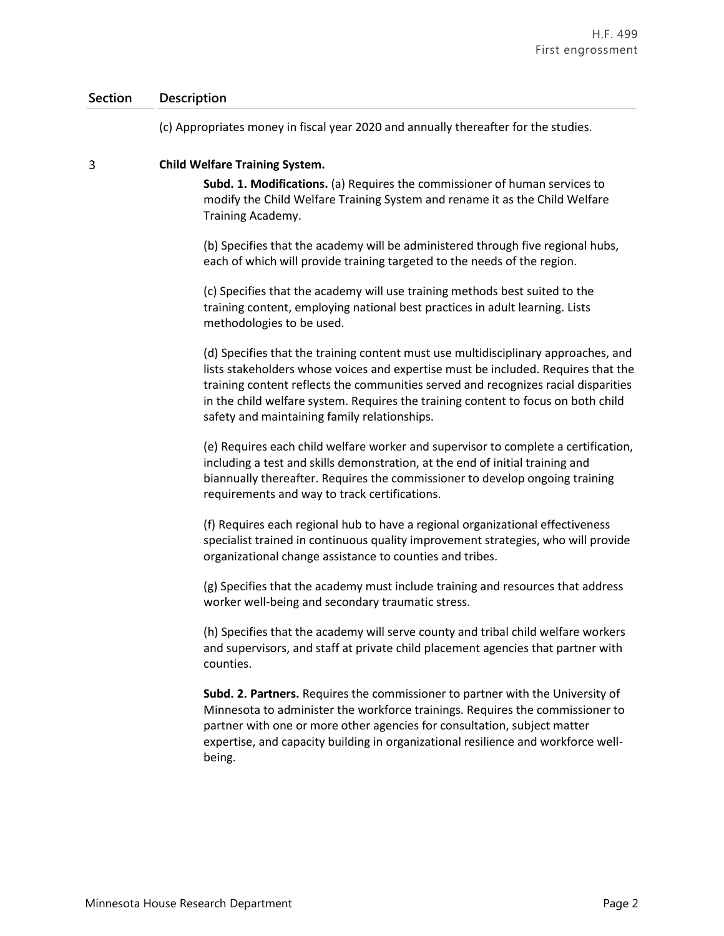### **Section Description**

(c) Appropriates money in fiscal year 2020 and annually thereafter for the studies.

#### 3 **Child Welfare Training System.**

**Subd. 1. Modifications.** (a) Requires the commissioner of human services to modify the Child Welfare Training System and rename it as the Child Welfare Training Academy.

(b) Specifies that the academy will be administered through five regional hubs, each of which will provide training targeted to the needs of the region.

(c) Specifies that the academy will use training methods best suited to the training content, employing national best practices in adult learning. Lists methodologies to be used.

(d) Specifies that the training content must use multidisciplinary approaches, and lists stakeholders whose voices and expertise must be included. Requires that the training content reflects the communities served and recognizes racial disparities in the child welfare system. Requires the training content to focus on both child safety and maintaining family relationships.

(e) Requires each child welfare worker and supervisor to complete a certification, including a test and skills demonstration, at the end of initial training and biannually thereafter. Requires the commissioner to develop ongoing training requirements and way to track certifications.

(f) Requires each regional hub to have a regional organizational effectiveness specialist trained in continuous quality improvement strategies, who will provide organizational change assistance to counties and tribes.

(g) Specifies that the academy must include training and resources that address worker well-being and secondary traumatic stress.

(h) Specifies that the academy will serve county and tribal child welfare workers and supervisors, and staff at private child placement agencies that partner with counties.

**Subd. 2. Partners.** Requires the commissioner to partner with the University of Minnesota to administer the workforce trainings. Requires the commissioner to partner with one or more other agencies for consultation, subject matter expertise, and capacity building in organizational resilience and workforce wellbeing.